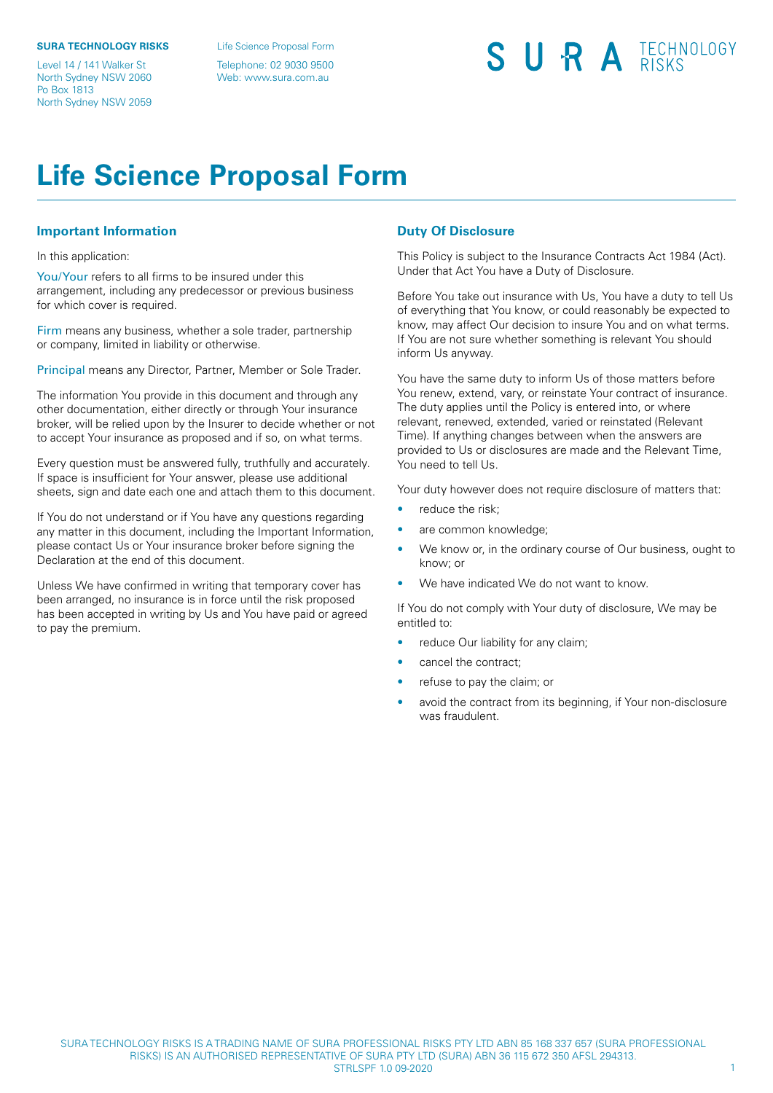#### **SURA TECHNOLOGY RISKS**

Level 14 / 141 Walker St North Sydney NSW 2060 Po Box 1813 North Sydney NSW 2059

Life Science Proposal Form

Telephone: 02 9030 9500 Web: www.sura.com.au

## SURA TECHNOLOGY

### **Life Science Proposal Form**

#### **Important Information**

#### In this application:

You/Your refers to all firms to be insured under this arrangement, including any predecessor or previous business for which cover is required.

Firm means any business, whether a sole trader, partnership or company, limited in liability or otherwise.

Principal means any Director, Partner, Member or Sole Trader.

The information You provide in this document and through any other documentation, either directly or through Your insurance broker, will be relied upon by the Insurer to decide whether or not to accept Your insurance as proposed and if so, on what terms.

Every question must be answered fully, truthfully and accurately. If space is insufficient for Your answer, please use additional sheets, sign and date each one and attach them to this document.

If You do not understand or if You have any questions regarding any matter in this document, including the Important Information, please contact Us or Your insurance broker before signing the Declaration at the end of this document.

Unless We have confirmed in writing that temporary cover has been arranged, no insurance is in force until the risk proposed has been accepted in writing by Us and You have paid or agreed to pay the premium.

### **Duty Of Disclosure**

This Policy is subject to the Insurance Contracts Act 1984 (Act). Under that Act You have a Duty of Disclosure.

Before You take out insurance with Us, You have a duty to tell Us of everything that You know, or could reasonably be expected to know, may affect Our decision to insure You and on what terms. If You are not sure whether something is relevant You should inform Us anyway.

You have the same duty to inform Us of those matters before You renew, extend, vary, or reinstate Your contract of insurance. The duty applies until the Policy is entered into, or where relevant, renewed, extended, varied or reinstated (Relevant Time). If anything changes between when the answers are provided to Us or disclosures are made and the Relevant Time, You need to tell Us.

Your duty however does not require disclosure of matters that:

- reduce the risk;
- are common knowledge;
- We know or, in the ordinary course of Our business, ought to know; or
- We have indicated We do not want to know.

If You do not comply with Your duty of disclosure, We may be entitled to:

- reduce Our liability for any claim;
- cancel the contract;
- refuse to pay the claim; or
- avoid the contract from its beginning, if Your non-disclosure was fraudulent.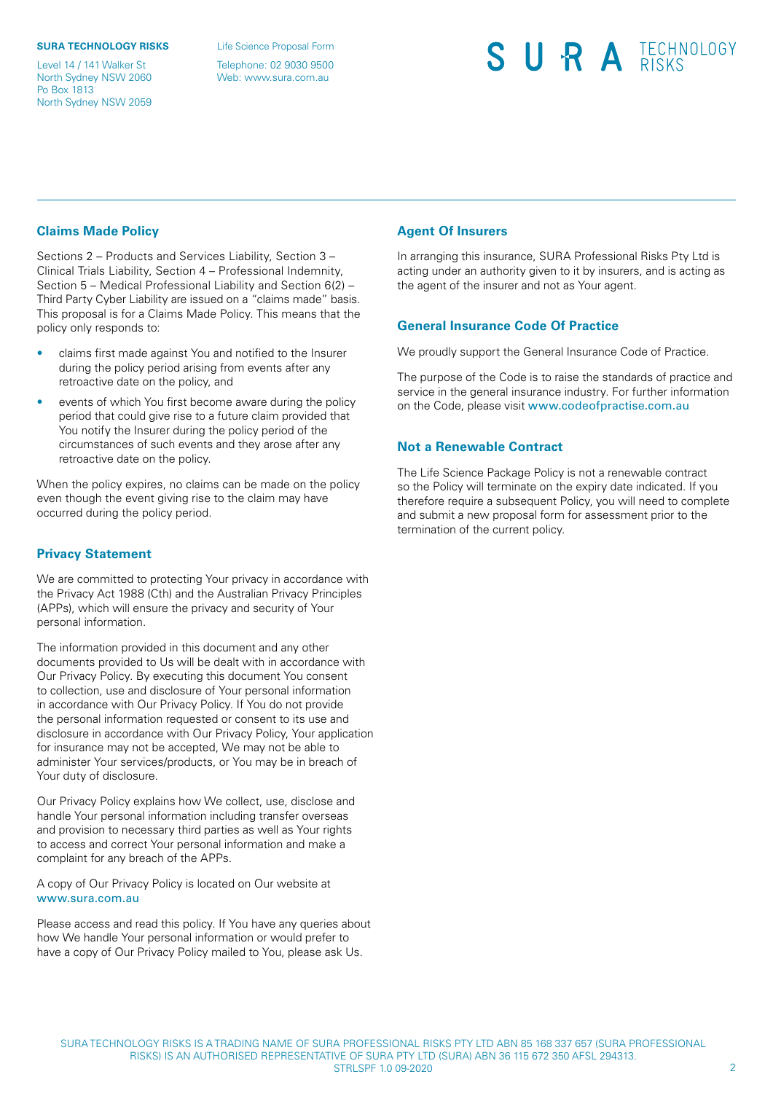#### **SURA TECHNOLOGY RISKS**

Level 14 / 141 Walker St North Sydney NSW 2060 Po Box 1813 North Sydney NSW 2059

Life Science Proposal Form

Telephone: 02 9030 9500 Web: www.sura.com.au

# SURA TECHNOLOGY

### **Claims Made Policy**

Sections 2 – Products and Services Liability, Section 3 – Clinical Trials Liability, Section 4 – Professional Indemnity, Section 5 – Medical Professional Liability and Section 6(2) – Third Party Cyber Liability are issued on a "claims made" basis. This proposal is for a Claims Made Policy. This means that the policy only responds to:

- claims first made against You and notified to the Insurer during the policy period arising from events after any retroactive date on the policy, and
- events of which You first become aware during the policy period that could give rise to a future claim provided that You notify the Insurer during the policy period of the circumstances of such events and they arose after any retroactive date on the policy.

When the policy expires, no claims can be made on the policy even though the event giving rise to the claim may have occurred during the policy period.

### **Privacy Statement**

We are committed to protecting Your privacy in accordance with the Privacy Act 1988 (Cth) and the Australian Privacy Principles (APPs), which will ensure the privacy and security of Your personal information.

The information provided in this document and any other documents provided to Us will be dealt with in accordance with Our Privacy Policy. By executing this document You consent to collection, use and disclosure of Your personal information in accordance with Our Privacy Policy. If You do not provide the personal information requested or consent to its use and disclosure in accordance with Our Privacy Policy, Your application for insurance may not be accepted, We may not be able to administer Your services/products, or You may be in breach of Your duty of disclosure.

Our Privacy Policy explains how We collect, use, disclose and handle Your personal information including transfer overseas and provision to necessary third parties as well as Your rights to access and correct Your personal information and make a complaint for any breach of the APPs.

A copy of Our Privacy Policy is located on Our website at <www.sura.com.au>

Please access and read this policy. If You have any queries about how We handle Your personal information or would prefer to have a copy of Our Privacy Policy mailed to You, please ask Us.

### **Agent Of Insurers**

In arranging this insurance, SURA Professional Risks Pty Ltd is acting under an authority given to it by insurers, and is acting as the agent of the insurer and not as Your agent.

### **General Insurance Code Of Practice**

We proudly support the General Insurance Code of Practice.

The purpose of the Code is to raise the standards of practice and service in the general insurance industry. For further information on the Code, please visit <www.codeofpractise.com.au>

### **Not a Renewable Contract**

The Life Science Package Policy is not a renewable contract so the Policy will terminate on the expiry date indicated. If you therefore require a subsequent Policy, you will need to complete and submit a new proposal form for assessment prior to the termination of the current policy.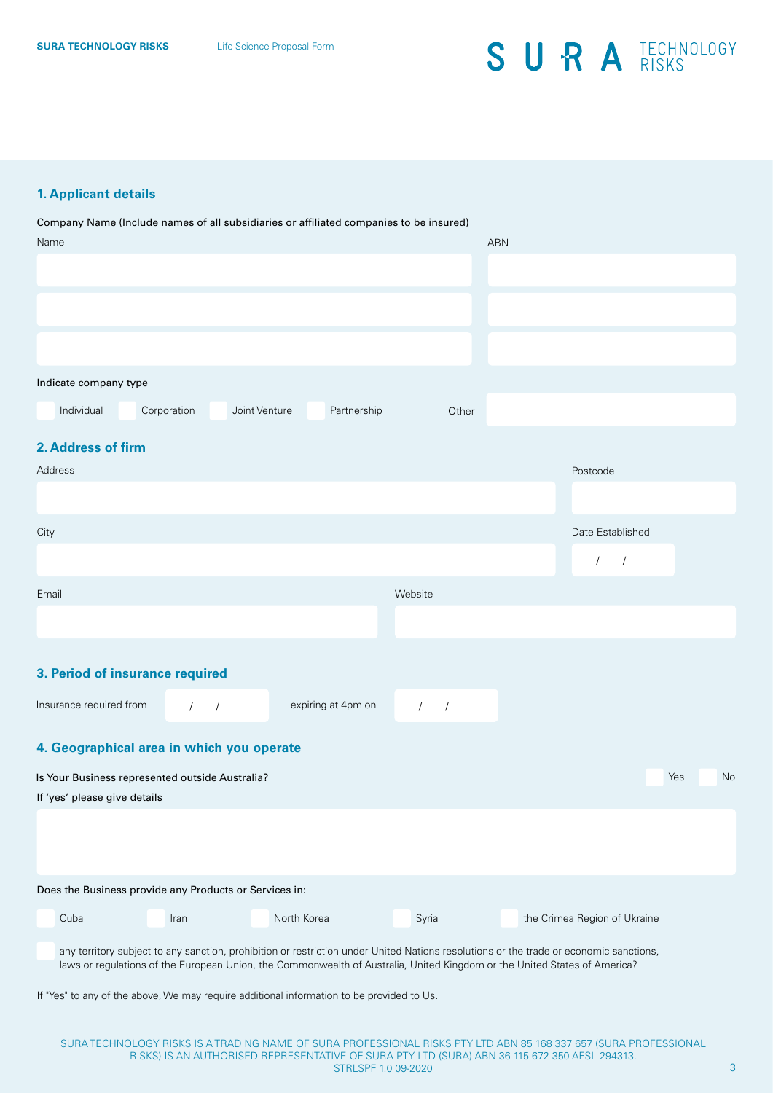### **1. Applicant details**

**3. Period of insurance required 4. Geographical area in which you operate** Name ABN ABN 1999 - Andre Sterne ABN 1999 - Andre Sterne ABN 1999 - ABN 1999 - ABN 1999 - ABN 1999 - ABN 1999 Company Name (Include names of all subsidiaries or affiliated companies to be insured) Indicate company type Individual Corporation Joint Venture Partnership Other **2. Address of firm City** Address Postcode / / Date Established Email Website Insurance required from  $\begin{array}{ccc} \begin{array}{ccc} \end{array} & \begin{array}{ccc} \end{array} & \begin{array}{ccc} \end{array} & \begin{array}{ccc} \end{array} & \begin{array}{ccc} \end{array} & \begin{array}{ccc} \end{array} & \begin{array}{ccc} \end{array} & \begin{array}{ccc} \end{array} & \begin{array}{ccc} \end{array} & \begin{array}{ccc} \end{array} & \begin{array}{ccc} \end{array} & \begin{array}{ccc} \end{array} & \begin{array}{ccc} \end{array} & \begin{array}{ccc} \end{array} & \begin{array}{ccc}$ Is Your Business represented outside Australia? The Community of the Community of the Community of the Community of the Community of the Community of the Community of the Community of the Community of the Community of the If 'yes' please give details Does the Business provide any Products or Services in:

any territory subject to any sanction, prohibition or restriction under United Nations resolutions or the trade or economic sanctions, laws or regulations of the European Union, the Commonwealth of Australia, United Kingdom or the United States of America?

If "Yes" to any of the above, We may require additional information to be provided to Us.

**Cuba** Iran Iran North Korea Syria

the Crimea Region of Ukraine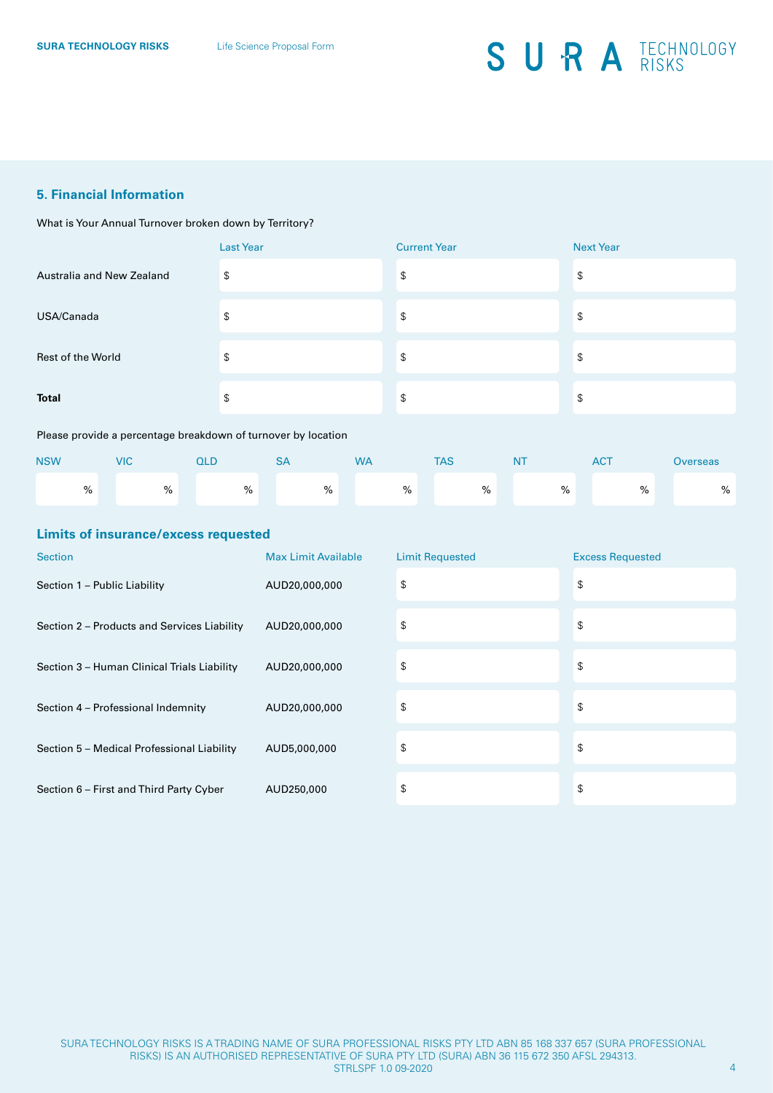### **5. Financial Information**

What is Your Annual Turnover broken down by Territory?

|                           | <b>Last Year</b> | <b>Current Year</b> | <b>Next Year</b> |
|---------------------------|------------------|---------------------|------------------|
| Australia and New Zealand | \$               | \$                  | \$               |
| USA/Canada                | \$               | \$                  | \$               |
| Rest of the World         | \$               | \$                  | \$               |
| <b>Total</b>              | \$               | \$                  | \$               |

#### Please provide a percentage breakdown of turnover by location

| <b>NSW</b> |   | <b>VIC</b> |   | QLD |   | ہر |   | <b>WA</b> |   | <b>TAS</b> |   | N <sub>1</sub> |      | <b>ACT</b> | <b>Overseas</b> |
|------------|---|------------|---|-----|---|----|---|-----------|---|------------|---|----------------|------|------------|-----------------|
|            | % |            | % |     | % |    | % |           | % |            | % |                | $\%$ | $\%$       | %               |

#### **Limits of insurance/excess requested**

| <b>Section</b>                              | <b>Max Limit Available</b> | <b>Limit Requested</b> | <b>Excess Requested</b> |
|---------------------------------------------|----------------------------|------------------------|-------------------------|
| Section 1 - Public Liability                | AUD20,000,000              | \$                     | \$                      |
| Section 2 – Products and Services Liability | AUD20,000,000              | \$                     | \$                      |
| Section 3 - Human Clinical Trials Liability | AUD20,000,000              | \$                     | \$                      |
| Section 4 - Professional Indemnity          | AUD20,000,000              | \$                     | \$                      |
| Section 5 - Medical Professional Liability  | AUD5,000,000               | \$                     | \$                      |
| Section 6 - First and Third Party Cyber     | AUD250,000                 | \$                     | \$                      |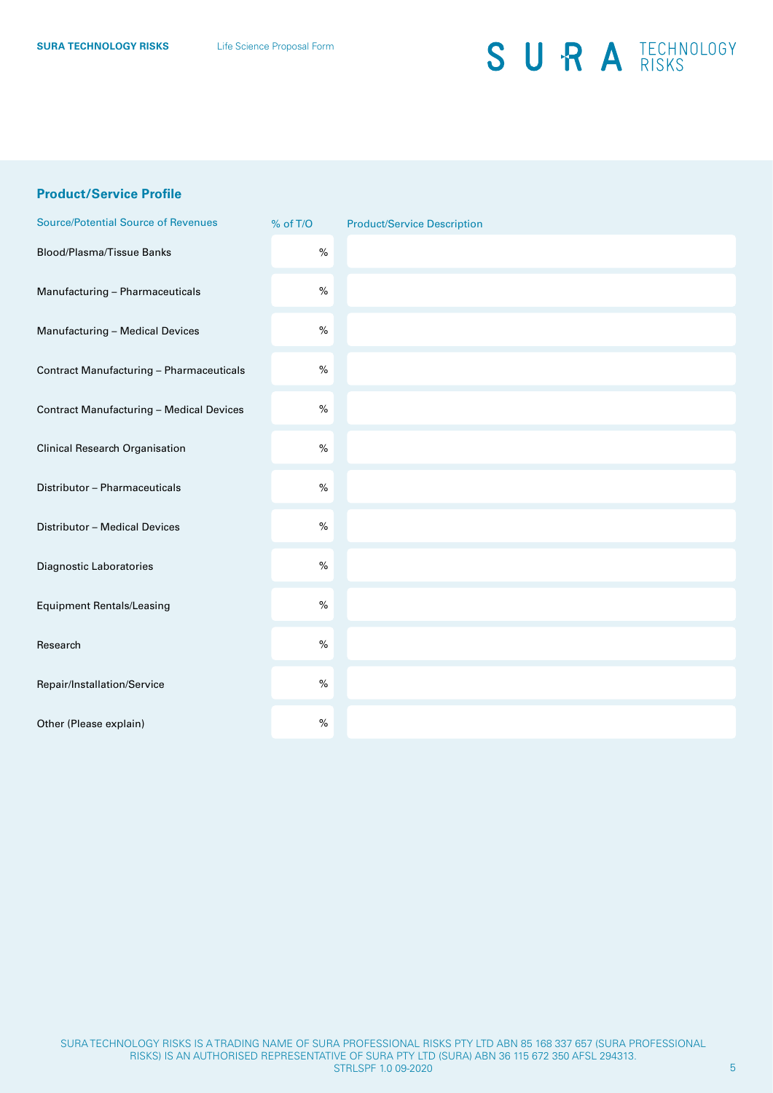### **Product/Service Profile**

| <b>Source/Potential Source of Revenues</b>      | % of T/O | <b>Product/Service Description</b> |
|-------------------------------------------------|----------|------------------------------------|
| Blood/Plasma/Tissue Banks                       | $\%$     |                                    |
| Manufacturing - Pharmaceuticals                 | $\%$     |                                    |
| Manufacturing - Medical Devices                 | $\%$     |                                    |
| Contract Manufacturing - Pharmaceuticals        | $\%$     |                                    |
| <b>Contract Manufacturing - Medical Devices</b> | $\%$     |                                    |
| <b>Clinical Research Organisation</b>           | $\%$     |                                    |
| Distributor - Pharmaceuticals                   | $\%$     |                                    |
| Distributor - Medical Devices                   | $\%$     |                                    |
| Diagnostic Laboratories                         | $\%$     |                                    |
| <b>Equipment Rentals/Leasing</b>                | $\%$     |                                    |
| Research                                        | $\%$     |                                    |
| Repair/Installation/Service                     | $\%$     |                                    |
| Other (Please explain)                          | $\%$     |                                    |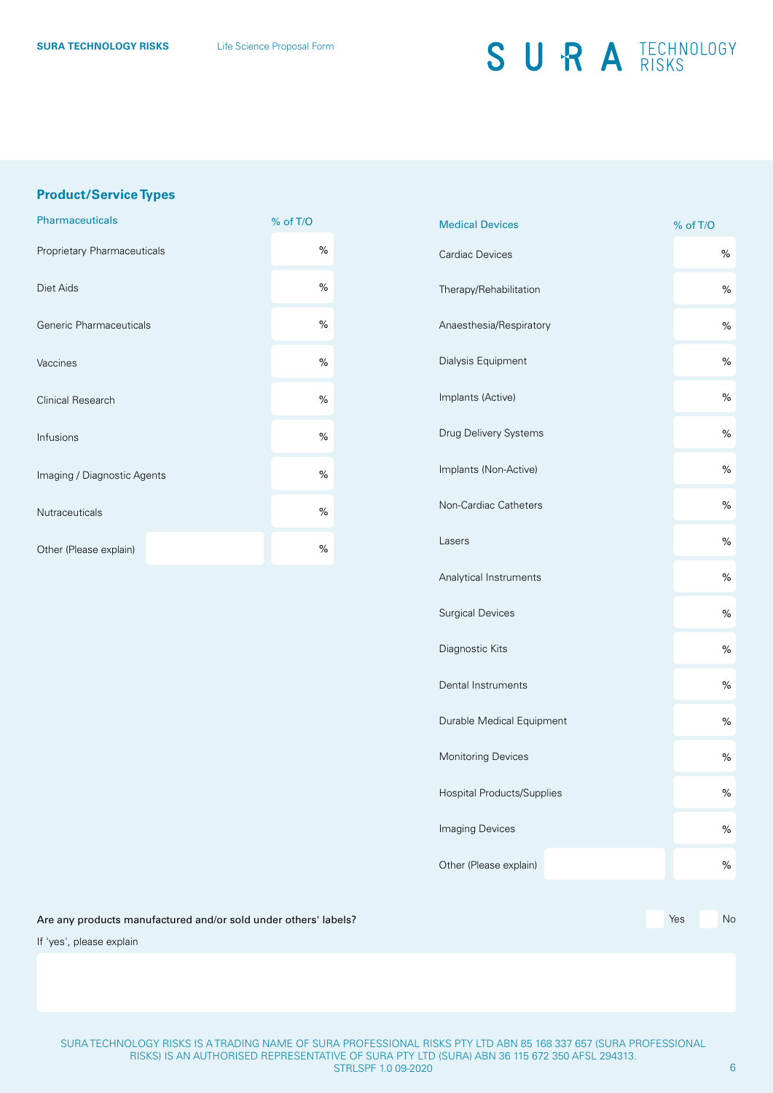### **Product/Service Types**

| <b>Pharmaceuticals</b>      | % of T/O |
|-----------------------------|----------|
| Proprietary Pharmaceuticals | %        |
| Diet Aids                   | %        |
| Generic Pharmaceuticals     | %        |
| Vaccines                    | %        |
| Clinical Research           | %        |
| Infusions                   | %        |
| Imaging / Diagnostic Agents | %        |
| <b>Nutraceuticals</b>       | %        |
| Other (Please explain)      | %        |

| <b>Medical Devices</b>     | % of T/O      |
|----------------------------|---------------|
| Cardiac Devices            | %             |
| Therapy/Rehabilitation     | $\%$          |
| Anaesthesia/Respiratory    | $\%$          |
| Dialysis Equipment         | $\%$          |
| Implants (Active)          | $\%$          |
| Drug Delivery Systems      | $\%$          |
| Implants (Non-Active)      | $\frac{1}{2}$ |
| Non-Cardiac Catheters      | $\%$          |
| Lasers                     | $\%$          |
| Analytical Instruments     | $\%$          |
| <b>Surgical Devices</b>    | $\%$          |
| Diagnostic Kits            | $\%$          |
| Dental Instruments         | $\%$          |
| Durable Medical Equipment  | $\%$          |
| <b>Monitoring Devices</b>  | $\%$          |
| Hospital Products/Supplies | %             |
| Imaging Devices            | $\%$          |
| Other (Please explain)     | $\%$          |
|                            |               |

Are any products manufactured and/or sold under others' labels? Are not all the state of the state of the North State North State North State North State North State North State North State North State North State North St

If 'yes', please explain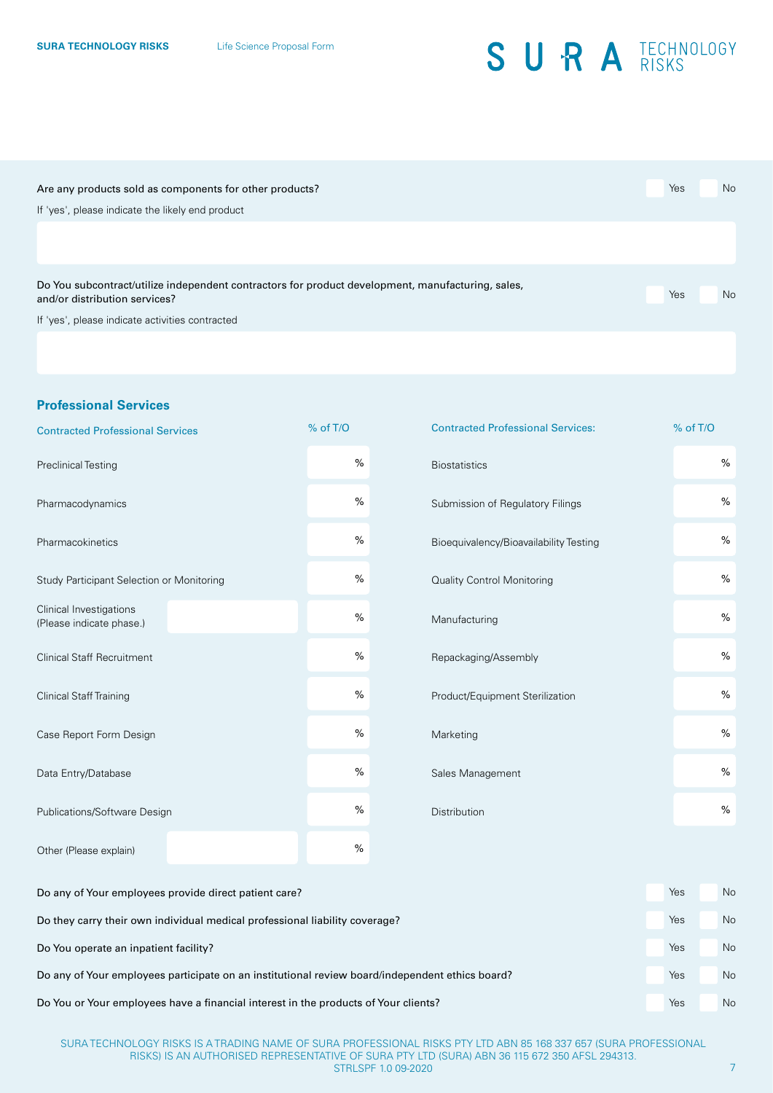| Are any products sold as components for other products?                                           | Yes | No |
|---------------------------------------------------------------------------------------------------|-----|----|
| If 'yes', please indicate the likely end product                                                  |     |    |
|                                                                                                   |     |    |
|                                                                                                   |     |    |
| Do You subcontract/utilize independent contractors for product development, manufacturing, sales, |     |    |
| and/or distribution services?                                                                     | Yes | No |
| If 'yes', please indicate activities contracted                                                   |     |    |
|                                                                                                   |     |    |
|                                                                                                   |     |    |

### **Professional Services**

| <b>Contracted Professional Services</b>               | % of T/O | <b>Contracted Professional Services:</b> | % of T/O |           |
|-------------------------------------------------------|----------|------------------------------------------|----------|-----------|
| <b>Preclinical Testing</b>                            | $\%$     | <b>Biostatistics</b>                     |          | $\%$      |
| Pharmacodynamics                                      | %        | Submission of Regulatory Filings         |          | $\%$      |
| Pharmacokinetics                                      | %        | Bioequivalency/Bioavailability Testing   |          | $\%$      |
| Study Participant Selection or Monitoring             | $\%$     | <b>Quality Control Monitoring</b>        |          | $\%$      |
| Clinical Investigations<br>(Please indicate phase.)   | %        | Manufacturing                            |          | $\%$      |
| <b>Clinical Staff Recruitment</b>                     | %        | Repackaging/Assembly                     |          | $\%$      |
| <b>Clinical Staff Training</b>                        | $\%$     | Product/Equipment Sterilization          |          | $\%$      |
| Case Report Form Design                               | $\%$     | Marketing                                |          | $\%$      |
| Data Entry/Database                                   | $\%$     | Sales Management                         |          | $\%$      |
| Publications/Software Design                          | $\%$     | Distribution                             |          | $\%$      |
| Other (Please explain)                                | $\%$     |                                          |          |           |
| Do any of Your employees provide direct patient care? |          |                                          | Yes      | <b>Nc</b> |
|                                                       |          |                                          |          |           |

Do they carry their own individual medical professional liability coverage? The North Communication of the North Communication of the North Communication of the North Communication of the North Communication of the North C Do You operate an inpatient facility? The Contract of Contract of Contract of Contract of Contract of Contract of Contract of Contract of Contract of Contract of Contract of Contract of Contract of Contract of Contract of Do any of Your employees participate on an institutional review board/independent ethics board? Yes No Do You or Your employees have a financial interest in the products of Your clients? The North Communisty Communisty Communisty Communisty Communisty Communisty Communisty Communisty Communisty Communisty Communisty Communi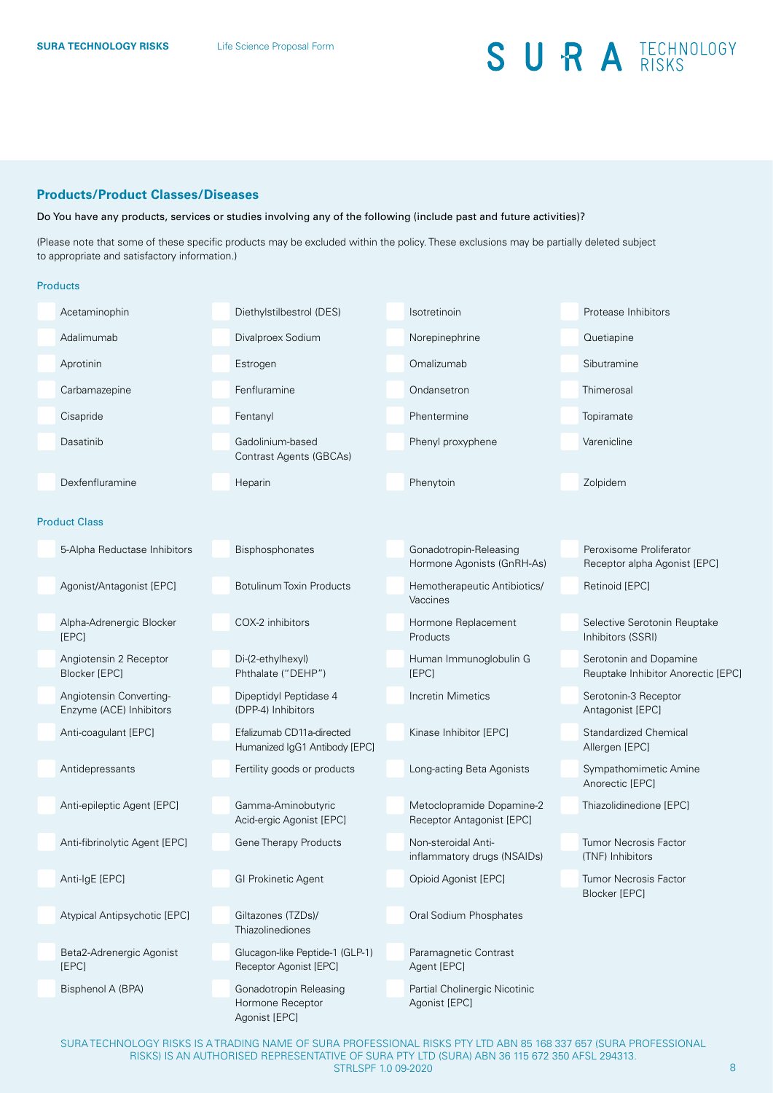#### **Products/Product Classes/Diseases**

Do You have any products, services or studies involving any of the following (include past and future activities)?

(Please note that some of these specific products may be excluded within the policy. These exclusions may be partially deleted subject to appropriate and satisfactory information.)

#### Products

| Acetaminophin                                      | Diethylstilbestrol (DES)                                    | Isotretinoin                                           | Protease Inhibitors                                          |
|----------------------------------------------------|-------------------------------------------------------------|--------------------------------------------------------|--------------------------------------------------------------|
| Adalimumab                                         | Divalproex Sodium                                           | Norepinephrine                                         | Quetiapine                                                   |
| Aprotinin                                          | Estrogen                                                    | Omalizumab                                             | Sibutramine                                                  |
| Carbamazepine                                      | Fenfluramine                                                | Ondansetron                                            | Thimerosal                                                   |
| Cisapride                                          | Fentanyl                                                    | Phentermine                                            | Topiramate                                                   |
| Dasatinib                                          | Gadolinium-based<br><b>Contrast Agents (GBCAs)</b>          | Phenyl proxyphene                                      | Varenicline                                                  |
| Dexfenfluramine                                    | Heparin                                                     | Phenytoin                                              | Zolpidem                                                     |
| <b>Product Class</b>                               |                                                             |                                                        |                                                              |
| 5-Alpha Reductase Inhibitors                       | Bisphosphonates                                             | Gonadotropin-Releasing<br>Hormone Agonists (GnRH-As)   | Peroxisome Proliferator<br>Receptor alpha Agonist [EPC]      |
| Agonist/Antagonist [EPC]                           | <b>Botulinum Toxin Products</b>                             | Hemotherapeutic Antibiotics/<br>Vaccines               | <b>Retinoid [EPC]</b>                                        |
| Alpha-Adrenergic Blocker<br><b>IEPCI</b>           | COX-2 inhibitors                                            | Hormone Replacement<br>Products                        | Selective Serotonin Reuptake<br>Inhibitors (SSRI)            |
| Angiotensin 2 Receptor<br><b>Blocker [EPC]</b>     | Di-(2-ethylhexyl)<br>Phthalate ("DEHP")                     | Human Immunoglobulin G<br>[EPC]                        | Serotonin and Dopamine<br>Reuptake Inhibitor Anorectic [EPC] |
| Angiotensin Converting-<br>Enzyme (ACE) Inhibitors | Dipeptidyl Peptidase 4<br>(DPP-4) Inhibitors                | Incretin Mimetics                                      | Serotonin-3 Receptor<br>Antagonist [EPC]                     |
| Anti-coagulant [EPC]                               | Efalizumab CD11a-directed<br>Humanized IgG1 Antibody [EPC]  | Kinase Inhibitor [EPC]                                 | Standardized Chemical<br>Allergen [EPC]                      |
| Antidepressants                                    | Fertility goods or products                                 | Long-acting Beta Agonists                              | Sympathomimetic Amine<br>Anorectic [EPC]                     |
| Anti-epileptic Agent [EPC]                         | Gamma-Aminobutyric<br>Acid-ergic Agonist [EPC]              | Metoclopramide Dopamine-2<br>Receptor Antagonist [EPC] | Thiazolidinedione [EPC]                                      |
| Anti-fibrinolytic Agent [EPC]                      | <b>Gene Therapy Products</b>                                | Non-steroidal Anti-<br>inflammatory drugs (NSAIDs)     | Tumor Necrosis Factor<br>(TNF) Inhibitors                    |
| Anti-IgE [EPC]                                     | <b>GI Prokinetic Agent</b>                                  | Opioid Agonist [EPC]                                   | Tumor Necrosis Factor<br>Blocker [EPC]                       |
| Atypical Antipsychotic [EPC]                       | Giltazones (TZDs)/<br>Thiazolinediones                      | Oral Sodium Phosphates                                 |                                                              |
| Beta2-Adrenergic Agonist<br>[EPC]                  | Glucagon-like Peptide-1 (GLP-1)<br>Receptor Agonist [EPC]   | Paramagnetic Contrast<br>Agent [EPC]                   |                                                              |
| Bisphenol A (BPA)                                  | Gonadotropin Releasing<br>Hormone Receptor<br>Agonist [EPC] | Partial Cholinergic Nicotinic<br>Agonist [EPC]         |                                                              |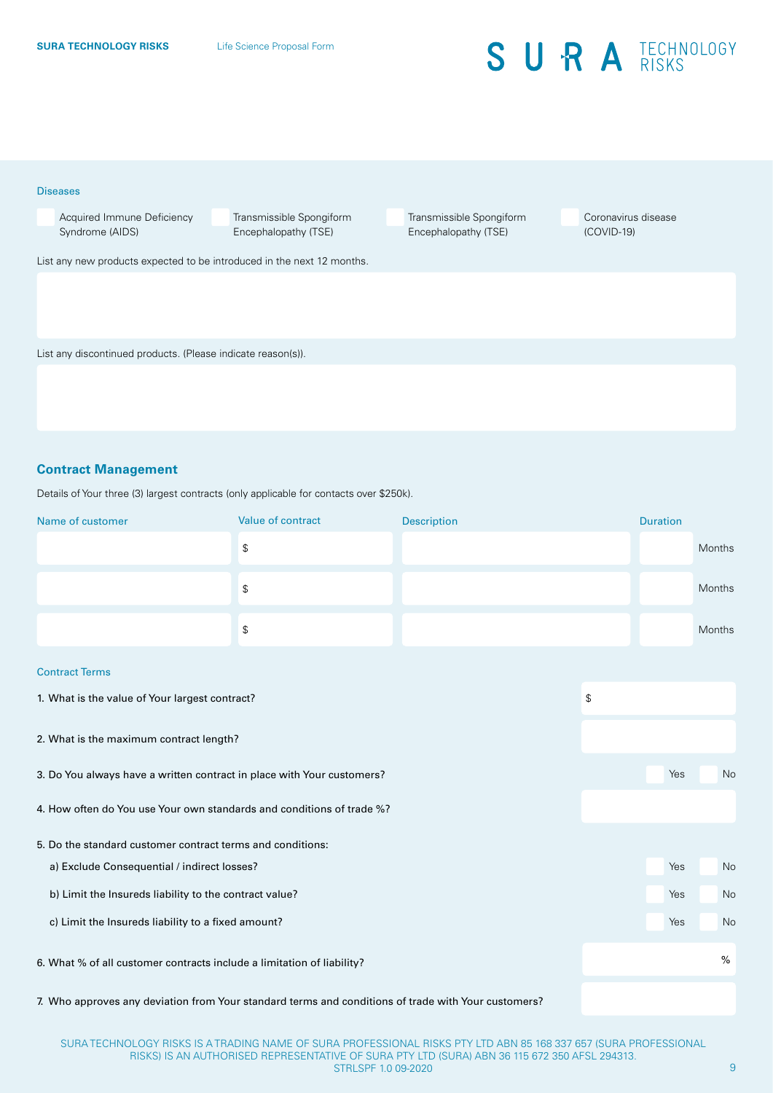#### Diseases

 Acquired Immune Deficiency Syndrome (AIDS)

 Transmissible Spongiform Encephalopathy (TSE)

 Transmissible Spongiform Encephalopathy (TSE)

 Coronavirus disease (COVID-19)

List any new products expected to be introduced in the next 12 months.

List any discontinued products. (Please indicate reason(s)).

### **Contract Management**

Details of Your three (3) largest contracts (only applicable for contacts over \$250k).

| Name of customer                                                       | Value of contract                             | <b>Description</b> |    | <b>Duration</b> |        |  |
|------------------------------------------------------------------------|-----------------------------------------------|--------------------|----|-----------------|--------|--|
|                                                                        | $\mathbb{S}$                                  |                    |    |                 | Months |  |
|                                                                        | $\, \, \raisebox{12pt}{$\scriptstyle \circ$}$ |                    |    |                 | Months |  |
|                                                                        | $\mathbb{S}$                                  |                    |    |                 | Months |  |
| <b>Contract Terms</b>                                                  |                                               |                    |    |                 |        |  |
| 1. What is the value of Your largest contract?                         | \$                                            |                    |    |                 |        |  |
| 2. What is the maximum contract length?                                |                                               |                    |    |                 |        |  |
| 3. Do You always have a written contract in place with Your customers? |                                               | Yes                | No |                 |        |  |
| 4. How often do You use Your own standards and conditions of trade %?  |                                               |                    |    |                 |        |  |
| 5. Do the standard customer contract terms and conditions:             |                                               |                    |    |                 |        |  |
| a) Exclude Consequential / indirect losses?                            |                                               | Yes                | No |                 |        |  |
| b) Limit the Insureds liability to the contract value?                 |                                               | Yes                | No |                 |        |  |
| c) Limit the Insureds liability to a fixed amount?                     |                                               |                    |    | Yes             | No     |  |
| 6. What % of all customer contracts include a limitation of liability? |                                               |                    |    |                 | %      |  |
|                                                                        |                                               |                    |    |                 |        |  |

7. Who approves any deviation from Your standard terms and conditions of trade with Your customers?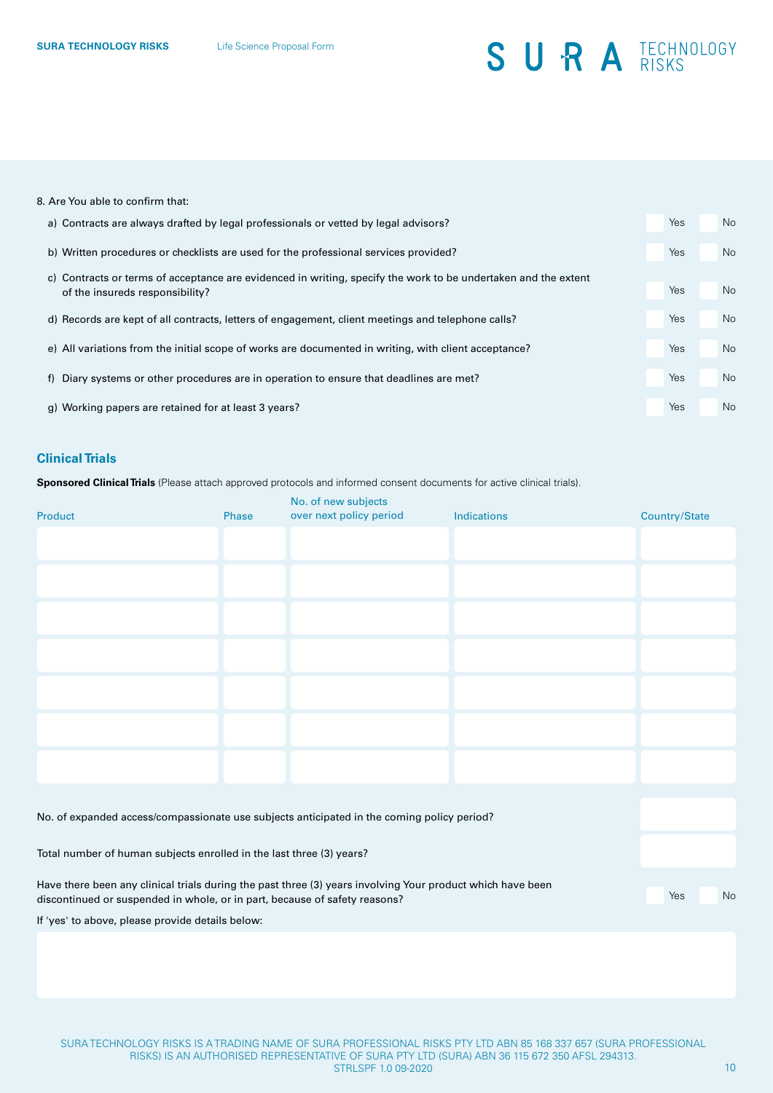#### 8. Are You able to confirm that:

| a) Contracts are always drafted by legal professionals or vetted by legal advisors?                                                               | Yes | No        |
|---------------------------------------------------------------------------------------------------------------------------------------------------|-----|-----------|
| b) Written procedures or checklists are used for the professional services provided?                                                              | Yes | No        |
| c) Contracts or terms of acceptance are evidenced in writing, specify the work to be undertaken and the extent<br>of the insureds responsibility? | Yes | No        |
| d) Records are kept of all contracts, letters of engagement, client meetings and telephone calls?                                                 | Yes | <b>No</b> |
| e) All variations from the initial scope of works are documented in writing, with client acceptance?                                              | Yes | <b>No</b> |
| f) Diary systems or other procedures are in operation to ensure that deadlines are met?                                                           | Yes | <b>No</b> |
| g) Working papers are retained for at least 3 years?                                                                                              | Yes | <b>No</b> |

#### **Clinical Trials**

**Sponsored Clinical Trials** (Please attach approved protocols and informed consent documents for active clinical trials).

| Product                                                                                    | Phase | No. of new subjects<br>over next policy period | Indications | Country/State |  |  |
|--------------------------------------------------------------------------------------------|-------|------------------------------------------------|-------------|---------------|--|--|
|                                                                                            |       |                                                |             |               |  |  |
|                                                                                            |       |                                                |             |               |  |  |
|                                                                                            |       |                                                |             |               |  |  |
|                                                                                            |       |                                                |             |               |  |  |
|                                                                                            |       |                                                |             |               |  |  |
|                                                                                            |       |                                                |             |               |  |  |
|                                                                                            |       |                                                |             |               |  |  |
| No. of expanded access/compassionate use subjects anticipated in the coming policy period? |       |                                                |             |               |  |  |

Total number of human subjects enrolled in the last three (3) years?

Have there been any clinical trials during the past three (3) years involving Your product which have been discontinued or suspended in whole, or in part, because of safety reasons?

If 'yes' to above, please provide details below: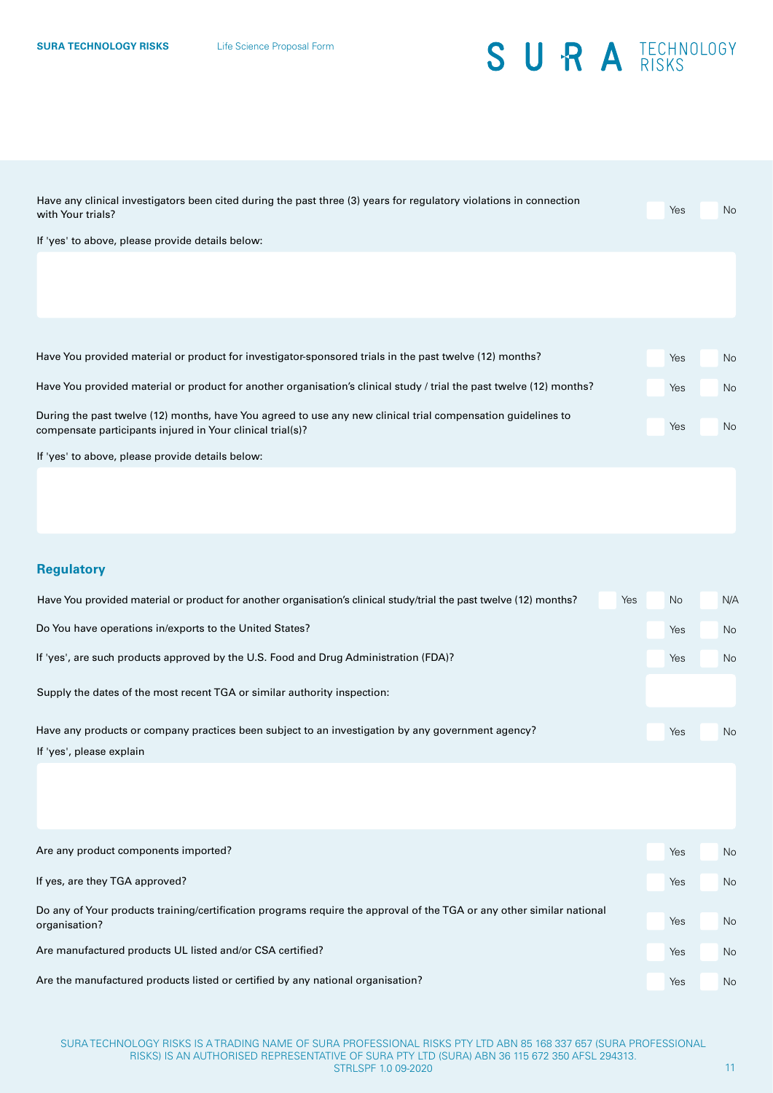| Have any clinical investigators been cited during the past three (3) years for regulatory violations in connection<br>with Your trials? | Yes        | No |
|-----------------------------------------------------------------------------------------------------------------------------------------|------------|----|
| If 'yes' to above, please provide details below:                                                                                        |            |    |
|                                                                                                                                         |            |    |
|                                                                                                                                         |            |    |
|                                                                                                                                         |            |    |
|                                                                                                                                         |            |    |
| Have You provided material or product for investigator-sponsored trials in the past twelve (12) months?                                 | <b>Yes</b> | No |
| Have You provided material or product for another organisation's clinical study / trial the past twelve (12) months?                    | Yes        | No |
| During the past twelve (12) months, have You agreed to use any new clinical trial compensation guidelines to                            |            |    |
| compensate participants injured in Your clinical trial(s)?                                                                              | <b>Yes</b> | No |
| If 'yes' to above, please provide details below:                                                                                        |            |    |
|                                                                                                                                         |            |    |

### **Regulatory**

| Have You provided material or product for another organisation's clinical study/trial the past twelve (12) months?<br>Yes | <b>No</b> | N/A |
|---------------------------------------------------------------------------------------------------------------------------|-----------|-----|
| Do You have operations in/exports to the United States?                                                                   | Yes       | No. |
| If 'yes', are such products approved by the U.S. Food and Drug Administration (FDA)?                                      | Yes       | No. |
| Supply the dates of the most recent TGA or similar authority inspection:                                                  |           |     |
| Have any products or company practices been subject to an investigation by any government agency?                         | Yes       | No. |
| If 'yes', please explain                                                                                                  |           |     |

| Are any product components imported?                                                                                                   | Yes | <b>No</b> |
|----------------------------------------------------------------------------------------------------------------------------------------|-----|-----------|
| If yes, are they TGA approved?                                                                                                         | Yes | <b>No</b> |
| Do any of Your products training/certification programs require the approval of the TGA or any other similar national<br>organisation? | Yes | <b>No</b> |
| Are manufactured products UL listed and/or CSA certified?                                                                              | Yes | <b>No</b> |
| Are the manufactured products listed or certified by any national organisation?                                                        | Yes | <b>No</b> |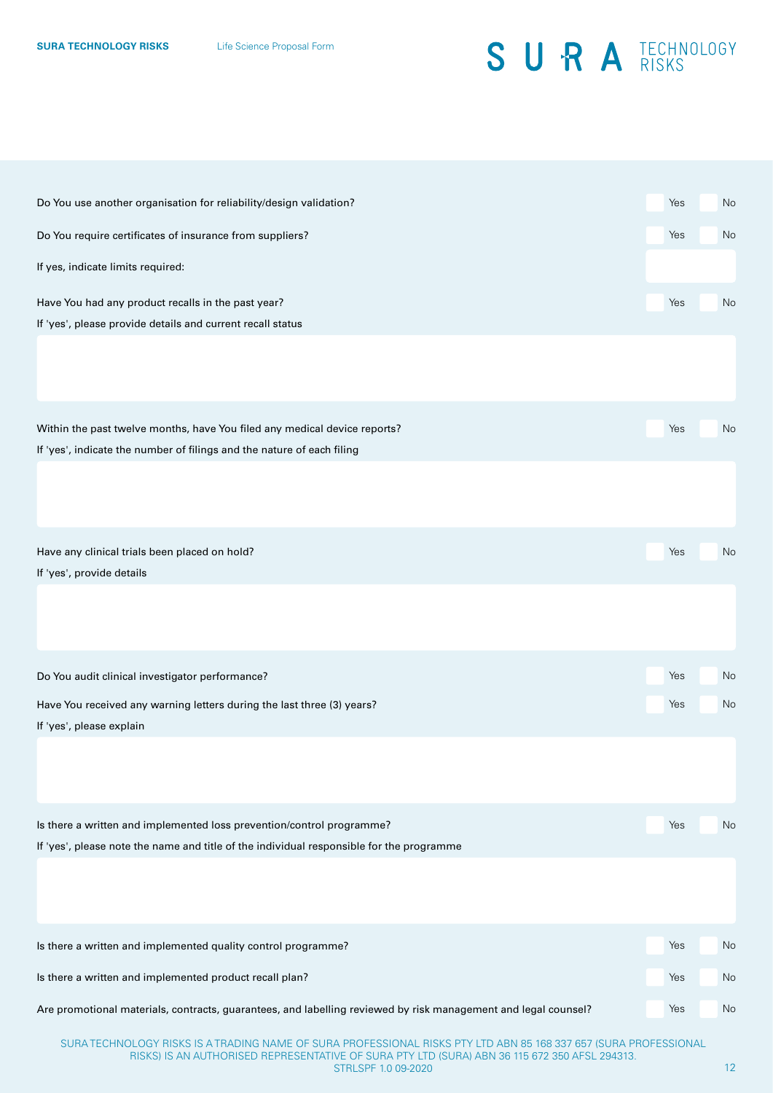| Do You use another organisation for reliability/design validation?                                                                                                                                                                         | Yes               | No             |
|--------------------------------------------------------------------------------------------------------------------------------------------------------------------------------------------------------------------------------------------|-------------------|----------------|
| Do You require certificates of insurance from suppliers?                                                                                                                                                                                   | Yes               | No             |
| If yes, indicate limits required:                                                                                                                                                                                                          |                   |                |
| Have You had any product recalls in the past year?<br>If 'yes', please provide details and current recall status                                                                                                                           | Yes               | No             |
| Within the past twelve months, have You filed any medical device reports?<br>If 'yes', indicate the number of filings and the nature of each filing                                                                                        | Yes               | No             |
| Have any clinical trials been placed on hold?<br>If 'yes', provide details                                                                                                                                                                 | Yes               | No             |
| Do You audit clinical investigator performance?<br>Have You received any warning letters during the last three (3) years?<br>If 'yes', please explain                                                                                      | Yes<br>Yes        | No<br>No       |
| Is there a written and implemented loss prevention/control programme?<br>If 'yes', please note the name and title of the individual responsible for the programme                                                                          | Yes               | No             |
| Is there a written and implemented quality control programme?<br>Is there a written and implemented product recall plan?<br>Are promotional materials, contracts, guarantees, and labelling reviewed by risk management and legal counsel? | Yes<br>Yes<br>Yes | No<br>No<br>No |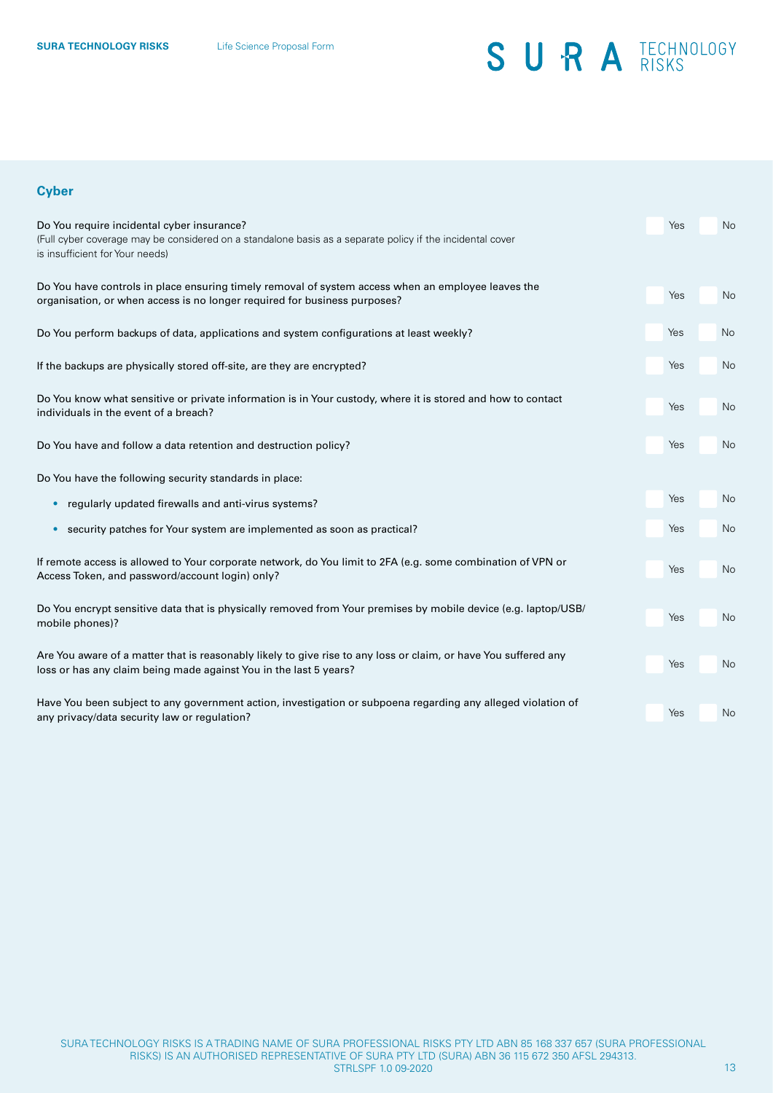### **Cyber**

| Do You require incidental cyber insurance?<br>(Full cyber coverage may be considered on a standalone basis as a separate policy if the incidental cover<br>is insufficient for Your needs) | Yes | <b>No</b> |
|--------------------------------------------------------------------------------------------------------------------------------------------------------------------------------------------|-----|-----------|
| Do You have controls in place ensuring timely removal of system access when an employee leaves the<br>organisation, or when access is no longer required for business purposes?            | Yes | <b>No</b> |
| Do You perform backups of data, applications and system configurations at least weekly?                                                                                                    | Yes | No        |
| If the backups are physically stored off-site, are they are encrypted?                                                                                                                     | Yes | <b>No</b> |
| Do You know what sensitive or private information is in Your custody, where it is stored and how to contact<br>individuals in the event of a breach?                                       | Yes | No        |
| Do You have and follow a data retention and destruction policy?                                                                                                                            | Yes | <b>No</b> |
| Do You have the following security standards in place:                                                                                                                                     |     |           |
| regularly updated firewalls and anti-virus systems?                                                                                                                                        | Yes | No        |
| security patches for Your system are implemented as soon as practical?<br>$\bullet$                                                                                                        | Yes | No        |
| If remote access is allowed to Your corporate network, do You limit to 2FA (e.g. some combination of VPN or<br>Access Token, and password/account login) only?                             | Yes | No        |
| Do You encrypt sensitive data that is physically removed from Your premises by mobile device (e.g. laptop/USB/<br>mobile phones)?                                                          | Yes | <b>No</b> |
| Are You aware of a matter that is reasonably likely to give rise to any loss or claim, or have You suffered any<br>loss or has any claim being made against You in the last 5 years?       | Yes | No        |
| Have You been subject to any government action, investigation or subpoena regarding any alleged violation of<br>any privacy/data security law or regulation?                               | Yes | No        |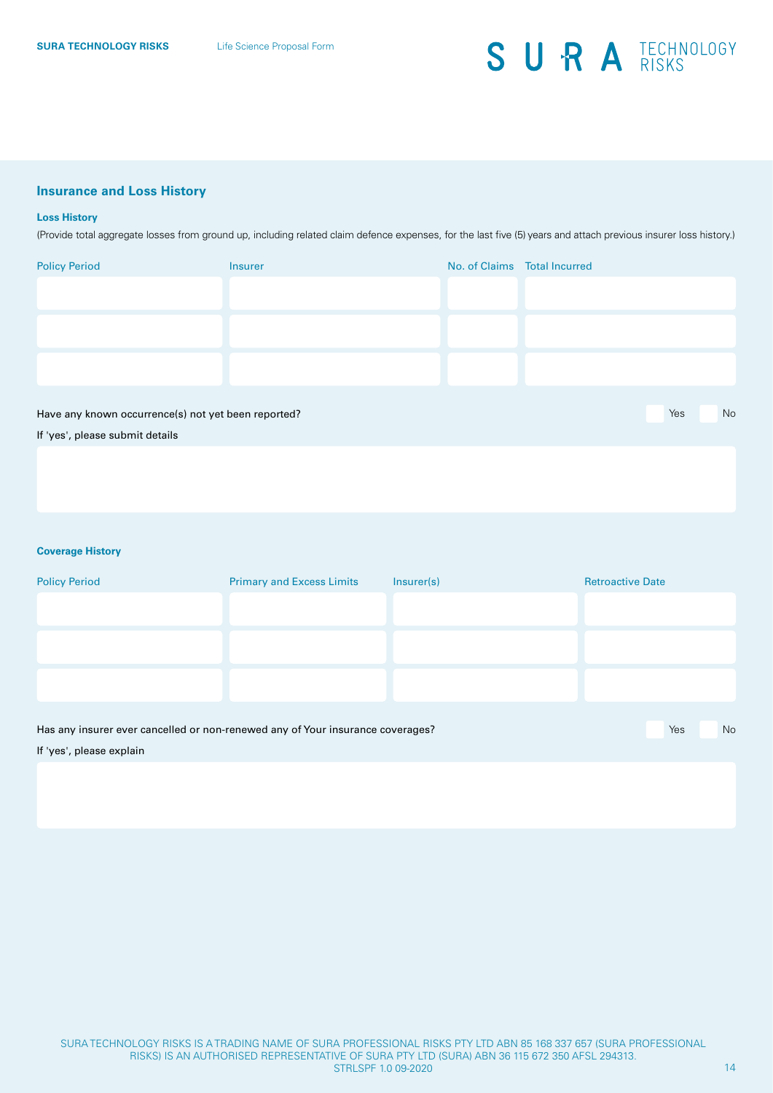### **Insurance and Loss History**

#### **Loss History**

(Provide total aggregate losses from ground up, including related claim defence expenses, for the last five (5) years and attach previous insurer loss history.)

| <b>Policy Period</b>                                | <b>Insurer</b> | No. of Claims Total Incurred |     |    |
|-----------------------------------------------------|----------------|------------------------------|-----|----|
|                                                     |                |                              |     |    |
|                                                     |                |                              |     |    |
|                                                     |                |                              |     |    |
|                                                     |                |                              |     |    |
|                                                     |                |                              |     |    |
|                                                     |                |                              |     |    |
|                                                     |                |                              |     |    |
| Have any known occurrence(s) not yet been reported? |                |                              | Yes | No |
| If 'yes', please submit details                     |                |                              |     |    |

### **Coverage History**

| <b>Policy Period</b>                                                           | <b>Primary and Excess Limits</b> | Insurer(s) | <b>Retroactive Date</b> |
|--------------------------------------------------------------------------------|----------------------------------|------------|-------------------------|
|                                                                                |                                  |            |                         |
|                                                                                |                                  |            |                         |
|                                                                                |                                  |            |                         |
|                                                                                |                                  |            |                         |
|                                                                                |                                  |            |                         |
| Has any insurer ever cancelled or non-renewed any of Your insurance coverages? |                                  |            | No<br>Yes               |
| If 'yes', please explain                                                       |                                  |            |                         |